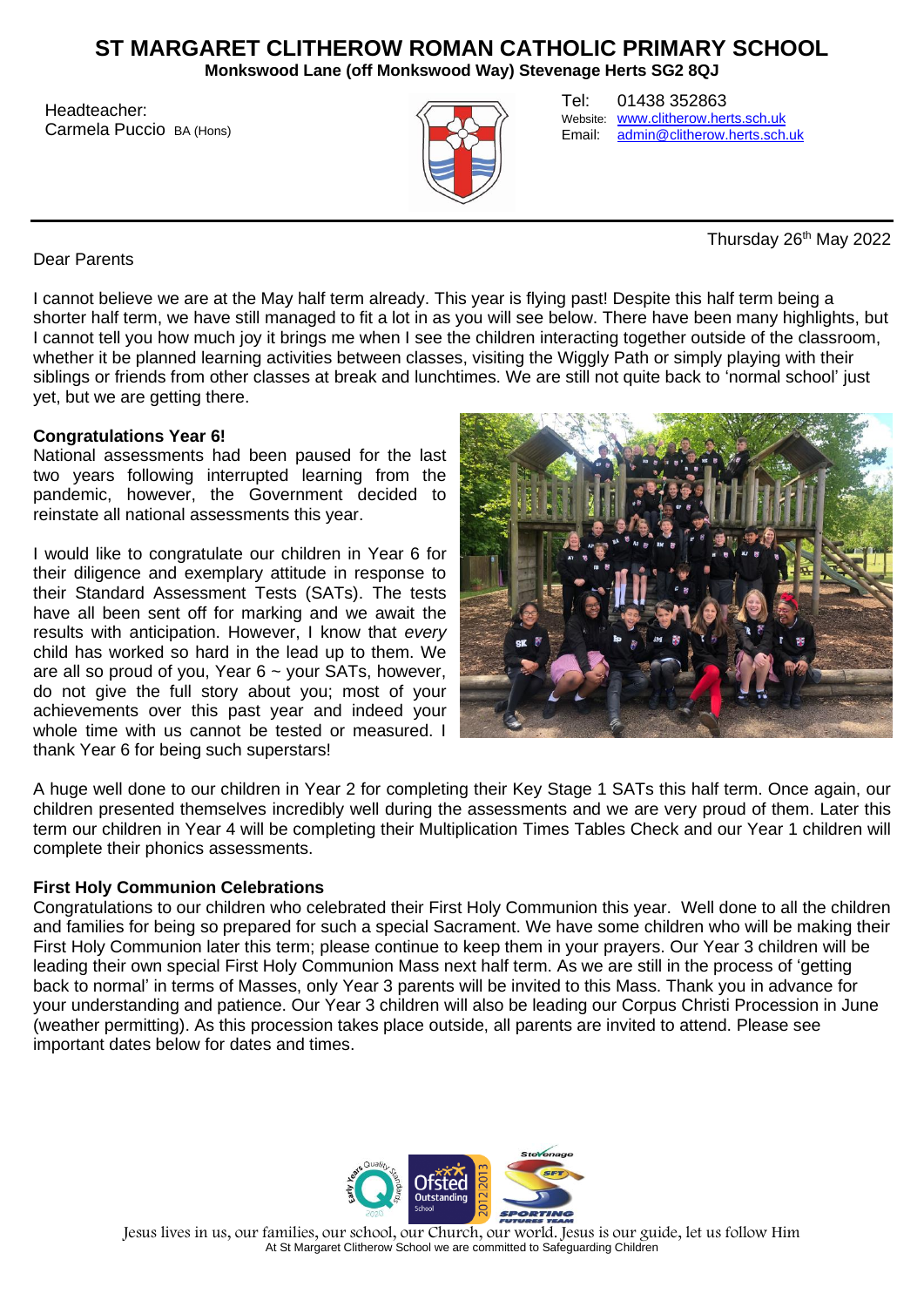# **ST MARGARET CLITHEROW ROMAN CATHOLIC PRIMARY SCHOOL**

**Monkswood Lane (off Monkswood Way) Stevenage Herts SG2 8QJ**

Headteacher: Carmela Puccio BA (Hons)



Tel: 01438 352863 Website: [www.clitherow.herts.sch.uk](http://www.clitherow.herts.sch.uk/)<br>Email: admin@clitherow.herts.sch. [admin@clitherow.herts.sch.uk](mailto:admin@clitherow.herts.sch.uk)

Thursday 26<sup>th</sup> May 2022

Dear Parents

I cannot believe we are at the May half term already. This year is flying past! Despite this half term being a shorter half term, we have still managed to fit a lot in as you will see below. There have been many highlights, but I cannot tell you how much joy it brings me when I see the children interacting together outside of the classroom, whether it be planned learning activities between classes, visiting the Wiggly Path or simply playing with their siblings or friends from other classes at break and lunchtimes. We are still not quite back to 'normal school' just yet, but we are getting there.

### **Congratulations Year 6!**

National assessments had been paused for the last two years following interrupted learning from the pandemic, however, the Government decided to reinstate all national assessments this year.

I would like to congratulate our children in Year 6 for their diligence and exemplary attitude in response to their Standard Assessment Tests (SATs). The tests have all been sent off for marking and we await the results with anticipation. However, I know that *every* child has worked so hard in the lead up to them. We are all so proud of you, Year  $6 \sim$  your SATs, however, do not give the full story about you; most of your achievements over this past year and indeed your whole time with us cannot be tested or measured. I thank Year 6 for being such superstars!



A huge well done to our children in Year 2 for completing their Key Stage 1 SATs this half term. Once again, our children presented themselves incredibly well during the assessments and we are very proud of them. Later this term our children in Year 4 will be completing their Multiplication Times Tables Check and our Year 1 children will complete their phonics assessments.

### **First Holy Communion Celebrations**

Congratulations to our children who celebrated their First Holy Communion this year. Well done to all the children and families for being so prepared for such a special Sacrament. We have some children who will be making their First Holy Communion later this term; please continue to keep them in your prayers. Our Year 3 children will be leading their own special First Holy Communion Mass next half term. As we are still in the process of 'getting back to normal' in terms of Masses, only Year 3 parents will be invited to this Mass. Thank you in advance for your understanding and patience. Our Year 3 children will also be leading our Corpus Christi Procession in June (weather permitting). As this procession takes place outside, all parents are invited to attend. Please see important dates below for dates and times.



Jesus lives in us, our families, our school, our Church, our world. Jesus is our guide, let us follow Him At St Margaret Clitherow School we are committed to Safeguarding Children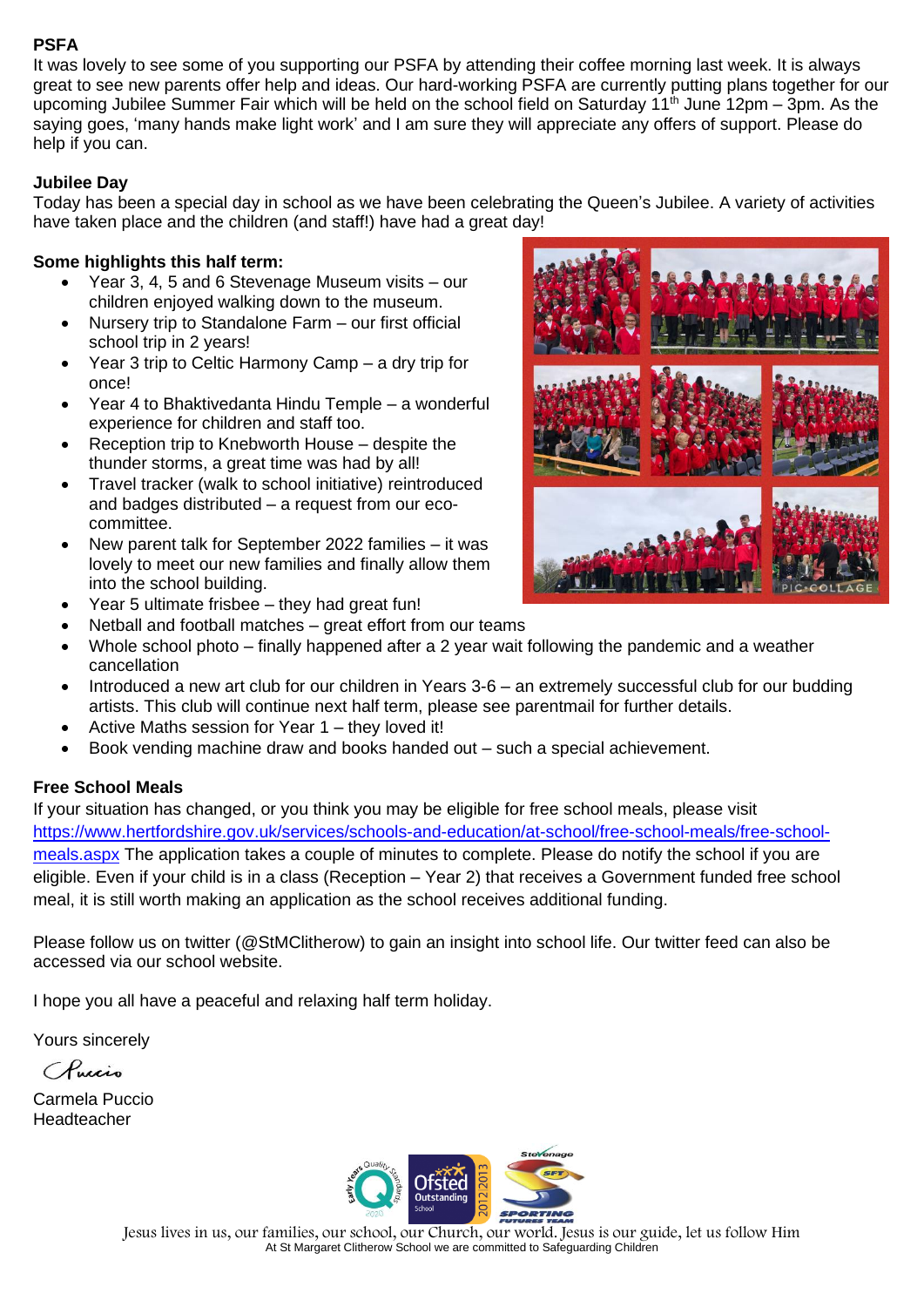## **PSFA**

It was lovely to see some of you supporting our PSFA by attending their coffee morning last week. It is always great to see new parents offer help and ideas. Our hard-working PSFA are currently putting plans together for our upcoming Jubilee Summer Fair which will be held on the school field on Saturday 11<sup>th</sup> June 12pm – 3pm. As the saying goes, 'many hands make light work' and I am sure they will appreciate any offers of support. Please do help if you can.

## **Jubilee Day**

Today has been a special day in school as we have been celebrating the Queen's Jubilee. A variety of activities have taken place and the children (and staff!) have had a great day!

### **Some highlights this half term:**

- Year 3, 4, 5 and 6 Stevenage Museum visits our children enjoyed walking down to the museum.
- Nursery trip to Standalone Farm our first official school trip in 2 years!
- Year 3 trip to Celtic Harmony Camp a dry trip for once!
- Year 4 to Bhaktivedanta Hindu Temple a wonderful experience for children and staff too.
- Reception trip to Knebworth House despite the thunder storms, a great time was had by all!
- Travel tracker (walk to school initiative) reintroduced and badges distributed – a request from our ecocommittee.
- New parent talk for September 2022 families it was lovely to meet our new families and finally allow them into the school building.
- Year 5 ultimate frisbee they had great fun!



- Whole school photo finally happened after a 2 year wait following the pandemic and a weather cancellation
- Introduced a new art club for our children in Years 3-6 an extremely successful club for our budding artists. This club will continue next half term, please see parentmail for further details.
- Active Maths session for Year  $1$  they loved it!
- Book vending machine draw and books handed out such a special achievement.

# **Free School Meals**

If your situation has changed, or you think you may be eligible for free school meals, please visit [https://www.hertfordshire.gov.uk/services/schools-and-education/at-school/free-school-meals/free-school](https://www.hertfordshire.gov.uk/services/schools-and-education/at-school/free-school-meals/free-school-meals.aspx)[meals.aspx](https://www.hertfordshire.gov.uk/services/schools-and-education/at-school/free-school-meals/free-school-meals.aspx) The application takes a couple of minutes to complete. Please do notify the school if you are eligible. Even if your child is in a class (Reception – Year 2) that receives a Government funded free school meal, it is still worth making an application as the school receives additional funding.

Please follow us on twitter (@StMClitherow) to gain an insight into school life. Our twitter feed can also be accessed via our school website.

I hope you all have a peaceful and relaxing half term holiday.

Yours sincerely

CRucio

Carmela Puccio Headteacher



Jesus lives in us, our families, our school, our Church, our world. Jesus is our guide, let us follow Him At St Margaret Clitherow School we are committed to Safeguarding Children